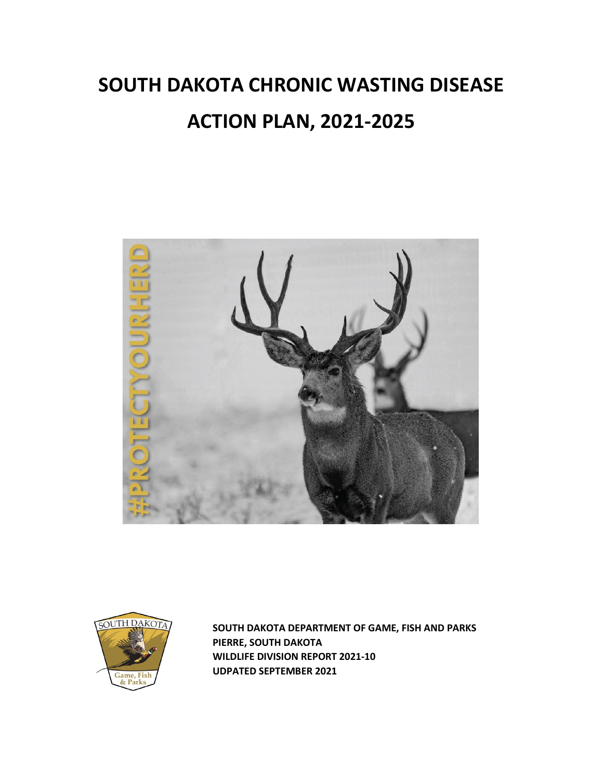# **SOUTH DAKOTA CHRONIC WASTING DISEASE ACTION PLAN, 2021-2025**





 **SOUTH DAKOTA DEPARTMENT OF GAME, FISH AND PARKS PIERRE, SOUTH DAKOTA WILDLIFE DIVISION REPORT 2021-10 UDPATED SEPTEMBER 2021**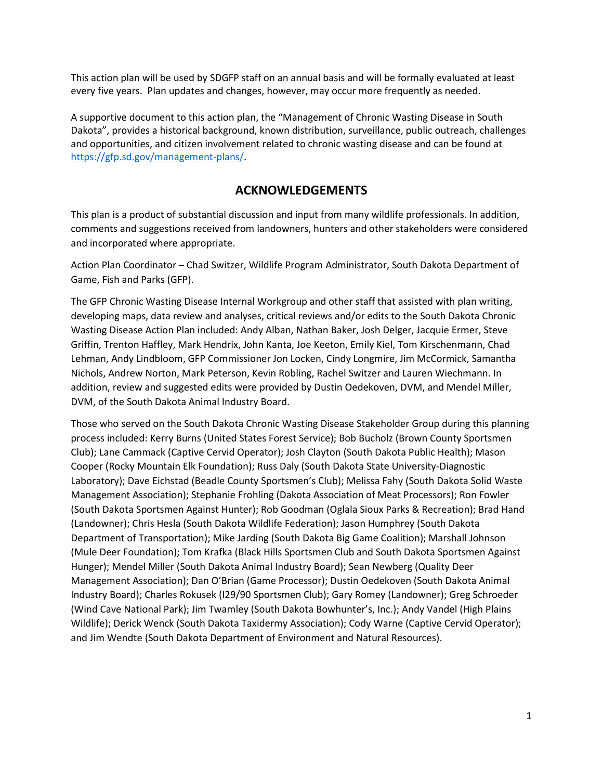This action plan will be used by SDGFP staff on an annual basis and will be formally evaluated at least every five years. Plan updates and changes, however, may occur more frequently as needed.

A supportive document to this action plan, the "Management of Chronic Wasting Disease in South Dakota", provides a historical background, known distribution, surveillance, public outreach, challenges and opportunities, and citizen involvement related to chronic wasting disease and can be found at [https://gfp.sd.gov/management-plans/.](https://gfp.sd.gov/management-plans/)

## **ACKNOWLEDGEMENTS**

This plan is a product of substantial discussion and input from many wildlife professionals. In addition, comments and suggestions received from landowners, hunters and other stakeholders were considered and incorporated where appropriate.

Action Plan Coordinator – Chad Switzer, Wildlife Program Administrator, South Dakota Department of Game, Fish and Parks (GFP).

The GFP Chronic Wasting Disease Internal Workgroup and other staff that assisted with plan writing, developing maps, data review and analyses, critical reviews and/or edits to the South Dakota Chronic Wasting Disease Action Plan included: Andy Alban, Nathan Baker, Josh Delger, Jacquie Ermer, Steve Griffin, Trenton Haffley, Mark Hendrix, John Kanta, Joe Keeton, Emily Kiel, Tom Kirschenmann, Chad Lehman, Andy Lindbloom, GFP Commissioner Jon Locken, Cindy Longmire, Jim McCormick, Samantha Nichols, Andrew Norton, Mark Peterson, Kevin Robling, Rachel Switzer and Lauren Wiechmann. In addition, review and suggested edits were provided by Dustin Oedekoven, DVM, and Mendel Miller, DVM, of the South Dakota Animal Industry Board.

Those who served on the South Dakota Chronic Wasting Disease Stakeholder Group during this planning process included: Kerry Burns (United States Forest Service); Bob Bucholz (Brown County Sportsmen Club); Lane Cammack (Captive Cervid Operator); Josh Clayton (South Dakota Public Health); Mason Cooper (Rocky Mountain Elk Foundation); Russ Daly (South Dakota State University-Diagnostic Laboratory); Dave Eichstad (Beadle County Sportsmen's Club); Melissa Fahy (South Dakota Solid Waste Management Association); Stephanie Frohling (Dakota Association of Meat Processors); Ron Fowler (South Dakota Sportsmen Against Hunter); Rob Goodman (Oglala Sioux Parks & Recreation); Brad Hand (Landowner); Chris Hesla (South Dakota Wildlife Federation); Jason Humphrey (South Dakota Department of Transportation); Mike Jarding (South Dakota Big Game Coalition); Marshall Johnson (Mule Deer Foundation); Tom Krafka (Black Hills Sportsmen Club and South Dakota Sportsmen Against Hunger); Mendel Miller (South Dakota Animal Industry Board); Sean Newberg (Quality Deer Management Association); Dan O'Brian (Game Processor); Dustin Oedekoven (South Dakota Animal Industry Board); Charles Rokusek (I29/90 Sportsmen Club); Gary Romey (Landowner); Greg Schroeder (Wind Cave National Park); Jim Twamley (South Dakota Bowhunter's, Inc.); Andy Vandel (High Plains Wildlife); Derick Wenck (South Dakota Taxidermy Association); Cody Warne (Captive Cervid Operator); and Jim Wendte (South Dakota Department of Environment and Natural Resources).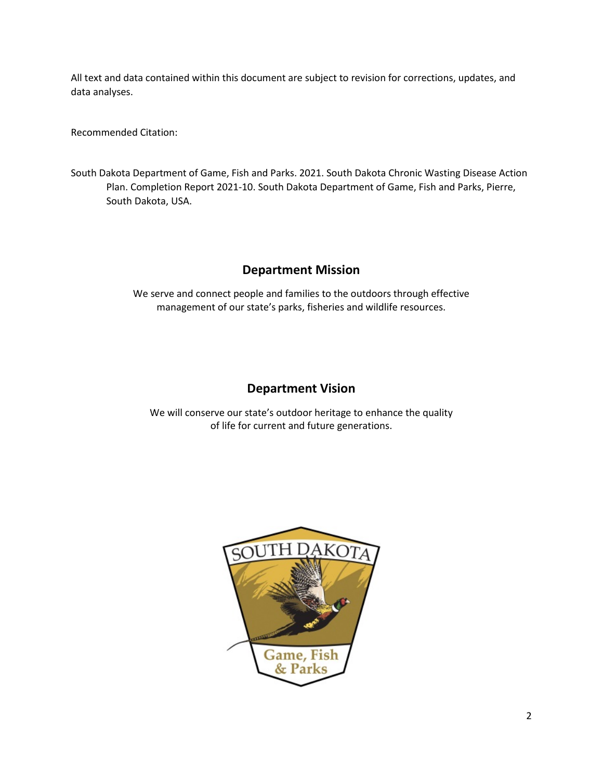All text and data contained within this document are subject to revision for corrections, updates, and data analyses.

Recommended Citation:

South Dakota Department of Game, Fish and Parks. 2021. South Dakota Chronic Wasting Disease Action Plan. Completion Report 2021-10. South Dakota Department of Game, Fish and Parks, Pierre, South Dakota, USA.

# **Department Mission**

We serve and connect people and families to the outdoors through effective management of our state's parks, fisheries and wildlife resources.

## **Department Vision**

We will conserve our state's outdoor heritage to enhance the quality of life for current and future generations.

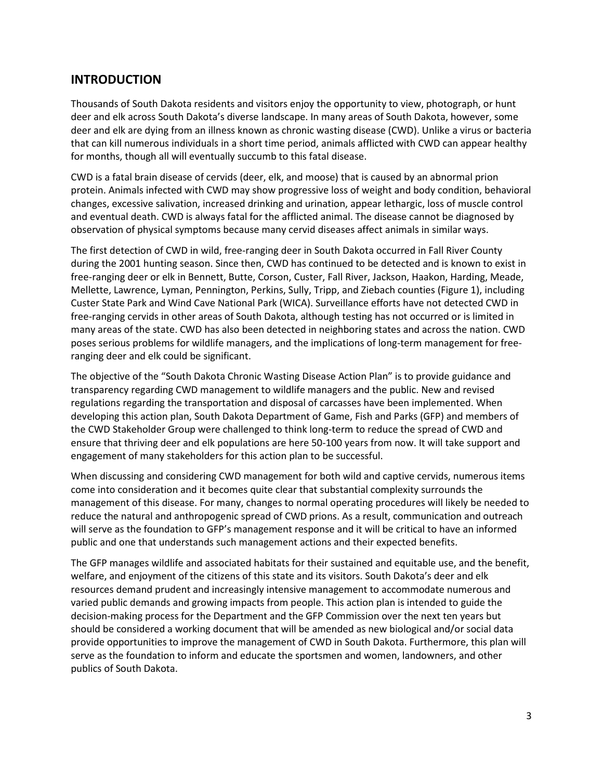## **INTRODUCTION**

Thousands of South Dakota residents and visitors enjoy the opportunity to view, photograph, or hunt deer and elk across South Dakota's diverse landscape. In many areas of South Dakota, however, some deer and elk are dying from an illness known as chronic wasting disease (CWD). Unlike a virus or bacteria that can kill numerous individuals in a short time period, animals afflicted with CWD can appear healthy for months, though all will eventually succumb to this fatal disease.

CWD is a fatal brain disease of cervids (deer, elk, and moose) that is caused by an abnormal prion protein. Animals infected with CWD may show progressive loss of weight and body condition, behavioral changes, excessive salivation, increased drinking and urination, appear lethargic, loss of muscle control and eventual death. CWD is always fatal for the afflicted animal. The disease cannot be diagnosed by observation of physical symptoms because many cervid diseases affect animals in similar ways.

The first detection of CWD in wild, free-ranging deer in South Dakota occurred in Fall River County during the 2001 hunting season. Since then, CWD has continued to be detected and is known to exist in free-ranging deer or elk in Bennett, Butte, Corson, Custer, Fall River, Jackson, Haakon, Harding, Meade, Mellette, Lawrence, Lyman, Pennington, Perkins, Sully, Tripp, and Ziebach counties (Figure 1), including Custer State Park and Wind Cave National Park (WICA). Surveillance efforts have not detected CWD in free-ranging cervids in other areas of South Dakota, although testing has not occurred or is limited in many areas of the state. CWD has also been detected in neighboring states and across the nation. CWD poses serious problems for wildlife managers, and the implications of long-term management for freeranging deer and elk could be significant.

The objective of the "South Dakota Chronic Wasting Disease Action Plan" is to provide guidance and transparency regarding CWD management to wildlife managers and the public. New and revised regulations regarding the transportation and disposal of carcasses have been implemented. When developing this action plan, South Dakota Department of Game, Fish and Parks (GFP) and members of the CWD Stakeholder Group were challenged to think long-term to reduce the spread of CWD and ensure that thriving deer and elk populations are here 50-100 years from now. It will take support and engagement of many stakeholders for this action plan to be successful.

When discussing and considering CWD management for both wild and captive cervids, numerous items come into consideration and it becomes quite clear that substantial complexity surrounds the management of this disease. For many, changes to normal operating procedures will likely be needed to reduce the natural and anthropogenic spread of CWD prions. As a result, communication and outreach will serve as the foundation to GFP's management response and it will be critical to have an informed public and one that understands such management actions and their expected benefits.

The GFP manages wildlife and associated habitats for their sustained and equitable use, and the benefit, welfare, and enjoyment of the citizens of this state and its visitors. South Dakota's deer and elk resources demand prudent and increasingly intensive management to accommodate numerous and varied public demands and growing impacts from people. This action plan is intended to guide the decision-making process for the Department and the GFP Commission over the next ten years but should be considered a working document that will be amended as new biological and/or social data provide opportunities to improve the management of CWD in South Dakota. Furthermore, this plan will serve as the foundation to inform and educate the sportsmen and women, landowners, and other publics of South Dakota.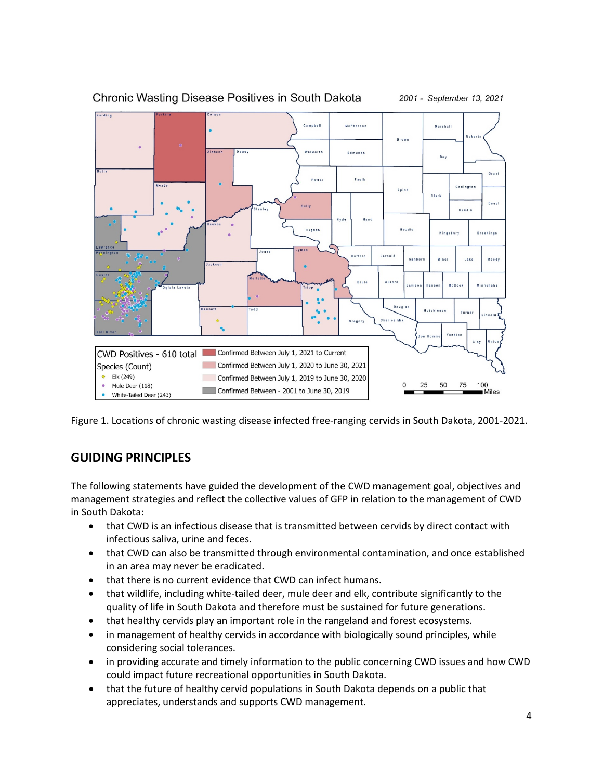

Chronic Wasting Disease Positives in South Dakota

2001 - September 13, 2021

Figure 1. Locations of chronic wasting disease infected free-ranging cervids in South Dakota, 2001-2021.

# **GUIDING PRINCIPLES**

The following statements have guided the development of the CWD management goal, objectives and management strategies and reflect the collective values of GFP in relation to the management of CWD in South Dakota:

- that CWD is an infectious disease that is transmitted between cervids by direct contact with infectious saliva, urine and feces.
- that CWD can also be transmitted through environmental contamination, and once established in an area may never be eradicated.
- that there is no current evidence that CWD can infect humans.
- that wildlife, including white-tailed deer, mule deer and elk, contribute significantly to the quality of life in South Dakota and therefore must be sustained for future generations.
- that healthy cervids play an important role in the rangeland and forest ecosystems.
- in management of healthy cervids in accordance with biologically sound principles, while considering social tolerances.
- in providing accurate and timely information to the public concerning CWD issues and how CWD could impact future recreational opportunities in South Dakota.
- that the future of healthy cervid populations in South Dakota depends on a public that appreciates, understands and supports CWD management.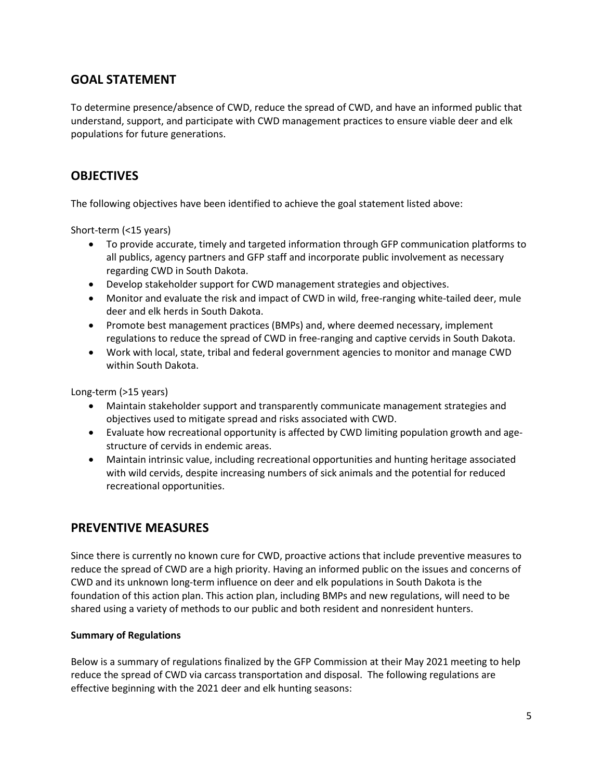# **GOAL STATEMENT**

To determine presence/absence of CWD, reduce the spread of CWD, and have an informed public that understand, support, and participate with CWD management practices to ensure viable deer and elk populations for future generations.

## **OBJECTIVES**

The following objectives have been identified to achieve the goal statement listed above:

Short-term (<15 years)

- To provide accurate, timely and targeted information through GFP communication platforms to all publics, agency partners and GFP staff and incorporate public involvement as necessary regarding CWD in South Dakota.
- Develop stakeholder support for CWD management strategies and objectives.
- Monitor and evaluate the risk and impact of CWD in wild, free-ranging white-tailed deer, mule deer and elk herds in South Dakota.
- Promote best management practices (BMPs) and, where deemed necessary, implement regulations to reduce the spread of CWD in free-ranging and captive cervids in South Dakota.
- Work with local, state, tribal and federal government agencies to monitor and manage CWD within South Dakota.

Long-term (>15 years)

- Maintain stakeholder support and transparently communicate management strategies and objectives used to mitigate spread and risks associated with CWD.
- Evaluate how recreational opportunity is affected by CWD limiting population growth and agestructure of cervids in endemic areas.
- Maintain intrinsic value, including recreational opportunities and hunting heritage associated with wild cervids, despite increasing numbers of sick animals and the potential for reduced recreational opportunities.

## **PREVENTIVE MEASURES**

Since there is currently no known cure for CWD, proactive actions that include preventive measures to reduce the spread of CWD are a high priority. Having an informed public on the issues and concerns of CWD and its unknown long-term influence on deer and elk populations in South Dakota is the foundation of this action plan. This action plan, including BMPs and new regulations, will need to be shared using a variety of methods to our public and both resident and nonresident hunters.

## **Summary of Regulations**

Below is a summary of regulations finalized by the GFP Commission at their May 2021 meeting to help reduce the spread of CWD via carcass transportation and disposal. The following regulations are effective beginning with the 2021 deer and elk hunting seasons: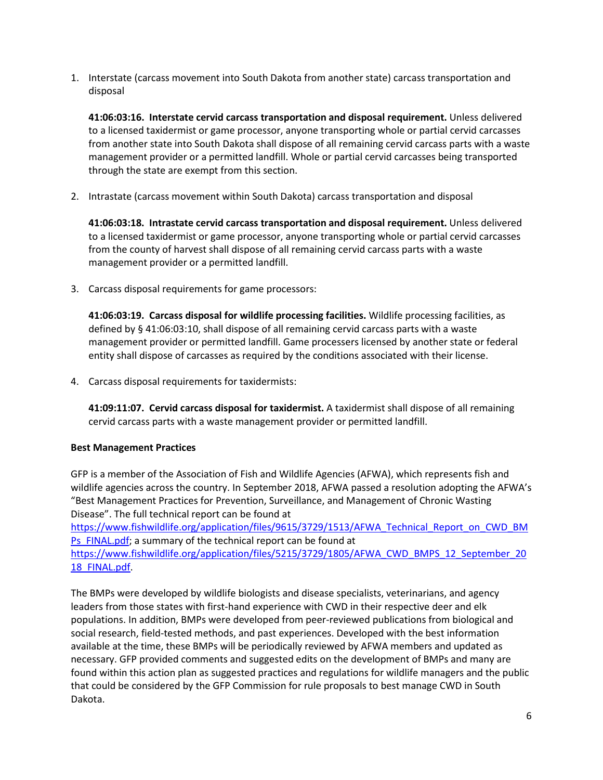1. Interstate (carcass movement into South Dakota from another state) carcass transportation and disposal

**41:06:03:16. Interstate cervid carcass transportation and disposal requirement.** Unless delivered to a licensed taxidermist or game processor, anyone transporting whole or partial cervid carcasses from another state into South Dakota shall dispose of all remaining cervid carcass parts with a waste management provider or a permitted landfill. Whole or partial cervid carcasses being transported through the state are exempt from this section.

2. Intrastate (carcass movement within South Dakota) carcass transportation and disposal

**41:06:03:18. Intrastate cervid carcass transportation and disposal requirement.** Unless delivered to a licensed taxidermist or game processor, anyone transporting whole or partial cervid carcasses from the county of harvest shall dispose of all remaining cervid carcass parts with a waste management provider or a permitted landfill.

3. Carcass disposal requirements for game processors:

**41:06:03:19. Carcass disposal for wildlife processing facilities.** Wildlife processing facilities, as defined by § 41:06:03:10, shall dispose of all remaining cervid carcass parts with a waste management provider or permitted landfill. Game processers licensed by another state or federal entity shall dispose of carcasses as required by the conditions associated with their license.

4. Carcass disposal requirements for taxidermists:

**41:09:11:07. Cervid carcass disposal for taxidermist.** A taxidermist shall dispose of all remaining cervid carcass parts with a waste management provider or permitted landfill.

## **Best Management Practices**

GFP is a member of the Association of Fish and Wildlife Agencies (AFWA), which represents fish and wildlife agencies across the country. In September 2018, AFWA passed a resolution adopting the AFWA's "Best Management Practices for Prevention, Surveillance, and Management of Chronic Wasting Disease". The full technical report can be found at

[https://www.fishwildlife.org/application/files/9615/3729/1513/AFWA\\_Technical\\_Report\\_on\\_CWD\\_BM](https://www.fishwildlife.org/application/files/9615/3729/1513/AFWA_Technical_Report_on_CWD_BMPs_FINAL.pdf) Ps FINAL.pdf; a summary of the technical report can be found at

[https://www.fishwildlife.org/application/files/5215/3729/1805/AFWA\\_CWD\\_BMPS\\_12\\_September\\_20](https://www.fishwildlife.org/application/files/5215/3729/1805/AFWA_CWD_BMPS_12_September_2018_FINAL.pdf) 18 FINAL.pdf.

The BMPs were developed by wildlife biologists and disease specialists, veterinarians, and agency leaders from those states with first-hand experience with CWD in their respective deer and elk populations. In addition, BMPs were developed from peer-reviewed publications from biological and social research, field-tested methods, and past experiences. Developed with the best information available at the time, these BMPs will be periodically reviewed by AFWA members and updated as necessary. GFP provided comments and suggested edits on the development of BMPs and many are found within this action plan as suggested practices and regulations for wildlife managers and the public that could be considered by the GFP Commission for rule proposals to best manage CWD in South Dakota.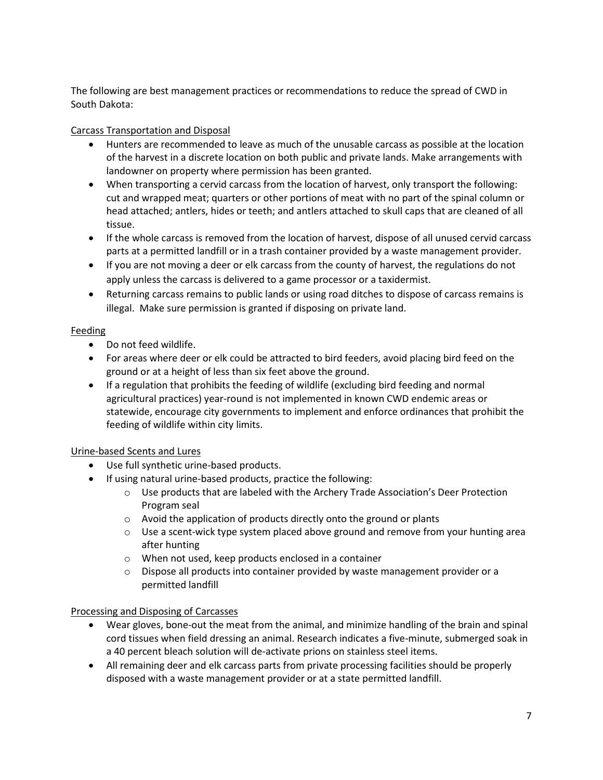The following are best management practices or recommendations to reduce the spread of CWD in South Dakota:

## Carcass Transportation and Disposal

- Hunters are recommended to leave as much of the unusable carcass as possible at the location of the harvest in a discrete location on both public and private lands. Make arrangements with landowner on property where permission has been granted.
- When transporting a cervid carcass from the location of harvest, only transport the following: cut and wrapped meat; quarters or other portions of meat with no part of the spinal column or head attached; antlers, hides or teeth; and antlers attached to skull caps that are cleaned of all tissue.
- If the whole carcass is removed from the location of harvest, dispose of all unused cervid carcass parts at a permitted landfill or in a trash container provided by a waste management provider.
- If you are not moving a deer or elk carcass from the county of harvest, the regulations do not apply unless the carcass is delivered to a game processor or a taxidermist.
- Returning carcass remains to public lands or using road ditches to dispose of carcass remains is illegal. Make sure permission is granted if disposing on private land.

## Feeding

- Do not feed wildlife.
- For areas where deer or elk could be attracted to bird feeders, avoid placing bird feed on the ground or at a height of less than six feet above the ground.
- If a regulation that prohibits the feeding of wildlife (excluding bird feeding and normal agricultural practices) year-round is not implemented in known CWD endemic areas or statewide, encourage city governments to implement and enforce ordinances that prohibit the feeding of wildlife within city limits.

## Urine-based Scents and Lures

- Use full synthetic urine-based products.
- If using natural urine-based products, practice the following:
	- o Use products that are labeled with the Archery Trade Association's Deer Protection Program seal
	- o Avoid the application of products directly onto the ground or plants
	- $\circ$  Use a scent-wick type system placed above ground and remove from your hunting area after hunting
	- o When not used, keep products enclosed in a container
	- $\circ$  Dispose all products into container provided by waste management provider or a permitted landfill

## Processing and Disposing of Carcasses

- Wear gloves, bone-out the meat from the animal, and minimize handling of the brain and spinal cord tissues when field dressing an animal. Research indicates a five-minute, submerged soak in a 40 percent bleach solution will de-activate prions on stainless steel items.
- All remaining deer and elk carcass parts from private processing facilities should be properly disposed with a waste management provider or at a state permitted landfill.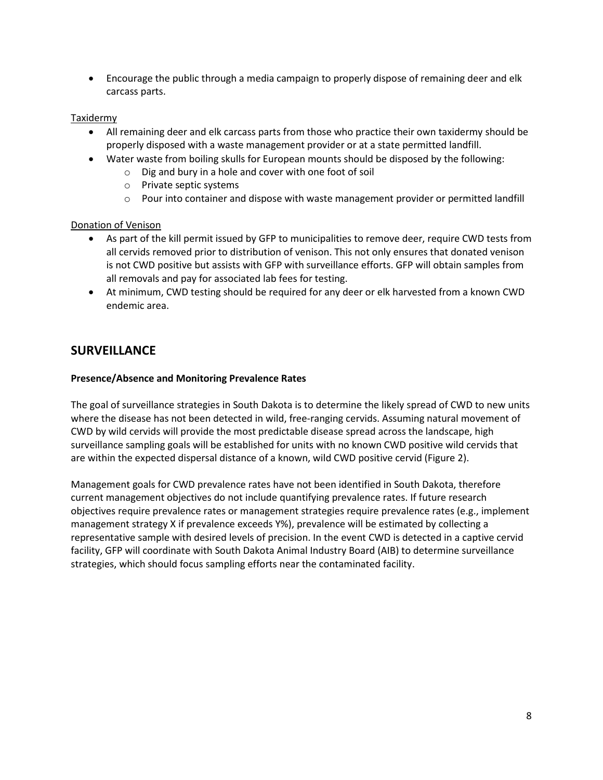• Encourage the public through a media campaign to properly dispose of remaining deer and elk carcass parts.

#### Taxidermy

- All remaining deer and elk carcass parts from those who practice their own taxidermy should be properly disposed with a waste management provider or at a state permitted landfill.
- Water waste from boiling skulls for European mounts should be disposed by the following:
	- o Dig and bury in a hole and cover with one foot of soil
	- o Private septic systems
	- $\circ$  Pour into container and dispose with waste management provider or permitted landfill

#### Donation of Venison

- As part of the kill permit issued by GFP to municipalities to remove deer, require CWD tests from all cervids removed prior to distribution of venison. This not only ensures that donated venison is not CWD positive but assists with GFP with surveillance efforts. GFP will obtain samples from all removals and pay for associated lab fees for testing.
- At minimum, CWD testing should be required for any deer or elk harvested from a known CWD endemic area.

## **SURVEILLANCE**

#### **Presence/Absence and Monitoring Prevalence Rates**

The goal of surveillance strategies in South Dakota is to determine the likely spread of CWD to new units where the disease has not been detected in wild, free-ranging cervids. Assuming natural movement of CWD by wild cervids will provide the most predictable disease spread across the landscape, high surveillance sampling goals will be established for units with no known CWD positive wild cervids that are within the expected dispersal distance of a known, wild CWD positive cervid (Figure 2).

Management goals for CWD prevalence rates have not been identified in South Dakota, therefore current management objectives do not include quantifying prevalence rates. If future research objectives require prevalence rates or management strategies require prevalence rates (e.g., implement management strategy X if prevalence exceeds Y%), prevalence will be estimated by collecting a representative sample with desired levels of precision. In the event CWD is detected in a captive cervid facility, GFP will coordinate with South Dakota Animal Industry Board (AIB) to determine surveillance strategies, which should focus sampling efforts near the contaminated facility.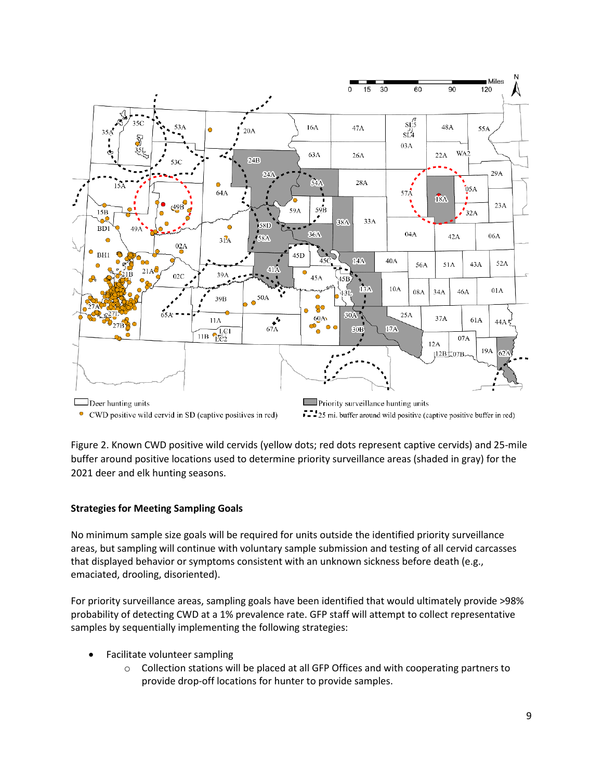

• CWD positive wild cervid in SD (captive positives in red)

7. 25 mi. buffer around wild positive (captive positive buffer in red)

Figure 2. Known CWD positive wild cervids (yellow dots; red dots represent captive cervids) and 25-mile buffer around positive locations used to determine priority surveillance areas (shaded in gray) for the 2021 deer and elk hunting seasons.

## **Strategies for Meeting Sampling Goals**

No minimum sample size goals will be required for units outside the identified priority surveillance areas, but sampling will continue with voluntary sample submission and testing of all cervid carcasses that displayed behavior or symptoms consistent with an unknown sickness before death (e.g., emaciated, drooling, disoriented).

For priority surveillance areas, sampling goals have been identified that would ultimately provide >98% probability of detecting CWD at a 1% prevalence rate. GFP staff will attempt to collect representative samples by sequentially implementing the following strategies:

- Facilitate volunteer sampling
	- $\circ$  Collection stations will be placed at all GFP Offices and with cooperating partners to provide drop-off locations for hunter to provide samples.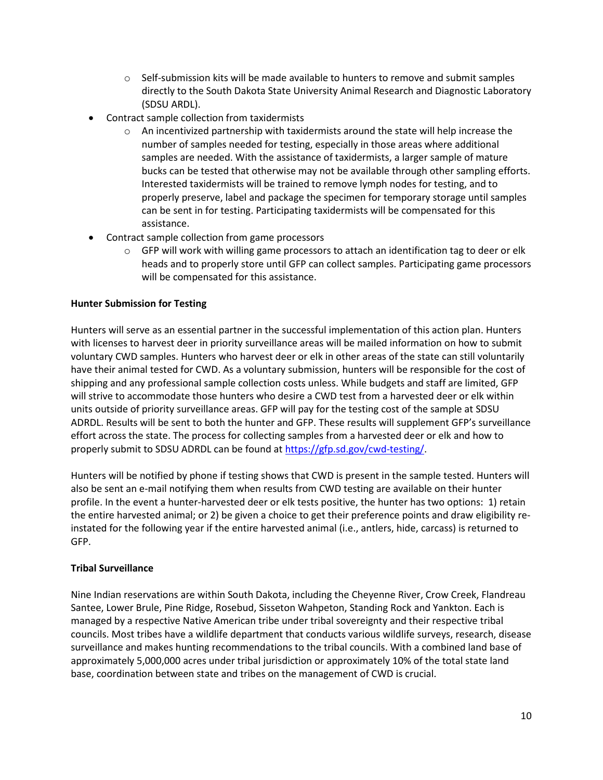- $\circ$  Self-submission kits will be made available to hunters to remove and submit samples directly to the South Dakota State University Animal Research and Diagnostic Laboratory (SDSU ARDL).
- Contract sample collection from taxidermists
	- $\circ$  An incentivized partnership with taxidermists around the state will help increase the number of samples needed for testing, especially in those areas where additional samples are needed. With the assistance of taxidermists, a larger sample of mature bucks can be tested that otherwise may not be available through other sampling efforts. Interested taxidermists will be trained to remove lymph nodes for testing, and to properly preserve, label and package the specimen for temporary storage until samples can be sent in for testing. Participating taxidermists will be compensated for this assistance.
- Contract sample collection from game processors
	- $\circ$  GFP will work with willing game processors to attach an identification tag to deer or elk heads and to properly store until GFP can collect samples. Participating game processors will be compensated for this assistance.

#### **Hunter Submission for Testing**

Hunters will serve as an essential partner in the successful implementation of this action plan. Hunters with licenses to harvest deer in priority surveillance areas will be mailed information on how to submit voluntary CWD samples. Hunters who harvest deer or elk in other areas of the state can still voluntarily have their animal tested for CWD. As a voluntary submission, hunters will be responsible for the cost of shipping and any professional sample collection costs unless. While budgets and staff are limited, GFP will strive to accommodate those hunters who desire a CWD test from a harvested deer or elk within units outside of priority surveillance areas. GFP will pay for the testing cost of the sample at SDSU ADRDL. Results will be sent to both the hunter and GFP. These results will supplement GFP's surveillance effort across the state. The process for collecting samples from a harvested deer or elk and how to properly submit to SDSU ADRDL can be found a[t https://gfp.sd.gov/cwd-testing/.](https://gfp.sd.gov/cwd-testing/)

Hunters will be notified by phone if testing shows that CWD is present in the sample tested. Hunters will also be sent an e-mail notifying them when results from CWD testing are available on their hunter profile. In the event a hunter-harvested deer or elk tests positive, the hunter has two options: 1) retain the entire harvested animal; or 2) be given a choice to get their preference points and draw eligibility reinstated for the following year if the entire harvested animal (i.e., antlers, hide, carcass) is returned to GFP.

#### **Tribal Surveillance**

Nine Indian reservations are within South Dakota, including the Cheyenne River, Crow Creek, Flandreau Santee, Lower Brule, Pine Ridge, Rosebud, Sisseton Wahpeton, Standing Rock and Yankton. Each is managed by a respective Native American tribe under tribal sovereignty and their respective tribal councils. Most tribes have a wildlife department that conducts various wildlife surveys, research, disease surveillance and makes hunting recommendations to the tribal councils. With a combined land base of approximately 5,000,000 acres under tribal jurisdiction or approximately 10% of the total state land base, coordination between state and tribes on the management of CWD is crucial.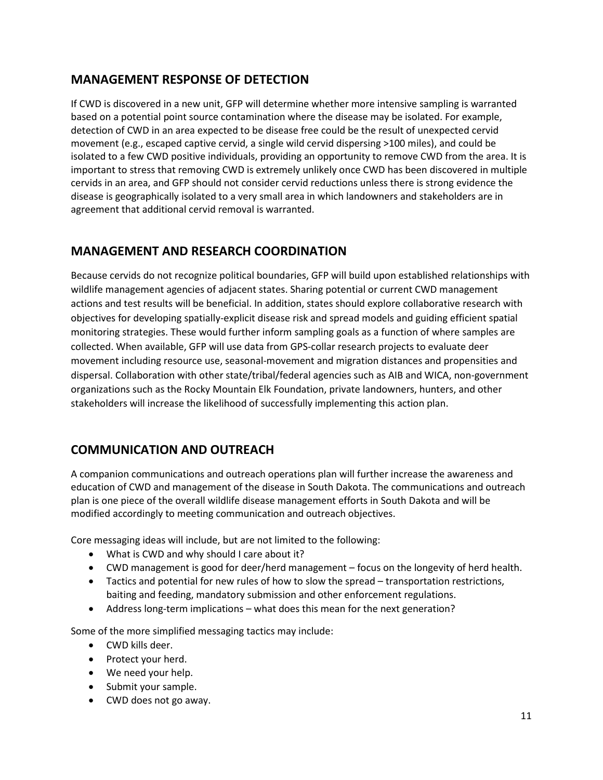# **MANAGEMENT RESPONSE OF DETECTION**

If CWD is discovered in a new unit, GFP will determine whether more intensive sampling is warranted based on a potential point source contamination where the disease may be isolated. For example, detection of CWD in an area expected to be disease free could be the result of unexpected cervid movement (e.g., escaped captive cervid, a single wild cervid dispersing >100 miles), and could be isolated to a few CWD positive individuals, providing an opportunity to remove CWD from the area. It is important to stress that removing CWD is extremely unlikely once CWD has been discovered in multiple cervids in an area, and GFP should not consider cervid reductions unless there is strong evidence the disease is geographically isolated to a very small area in which landowners and stakeholders are in agreement that additional cervid removal is warranted.

# **MANAGEMENT AND RESEARCH COORDINATION**

Because cervids do not recognize political boundaries, GFP will build upon established relationships with wildlife management agencies of adjacent states. Sharing potential or current CWD management actions and test results will be beneficial. In addition, states should explore collaborative research with objectives for developing spatially-explicit disease risk and spread models and guiding efficient spatial monitoring strategies. These would further inform sampling goals as a function of where samples are collected. When available, GFP will use data from GPS-collar research projects to evaluate deer movement including resource use, seasonal-movement and migration distances and propensities and dispersal. Collaboration with other state/tribal/federal agencies such as AIB and WICA, non-government organizations such as the Rocky Mountain Elk Foundation, private landowners, hunters, and other stakeholders will increase the likelihood of successfully implementing this action plan.

# **COMMUNICATION AND OUTREACH**

A companion communications and outreach operations plan will further increase the awareness and education of CWD and management of the disease in South Dakota. The communications and outreach plan is one piece of the overall wildlife disease management efforts in South Dakota and will be modified accordingly to meeting communication and outreach objectives.

Core messaging ideas will include, but are not limited to the following:

- What is CWD and why should I care about it?
- CWD management is good for deer/herd management focus on the longevity of herd health.
- Tactics and potential for new rules of how to slow the spread transportation restrictions, baiting and feeding, mandatory submission and other enforcement regulations.
- Address long-term implications what does this mean for the next generation?

Some of the more simplified messaging tactics may include:

- CWD kills deer.
- Protect your herd.
- We need your help.
- Submit your sample.
- CWD does not go away.